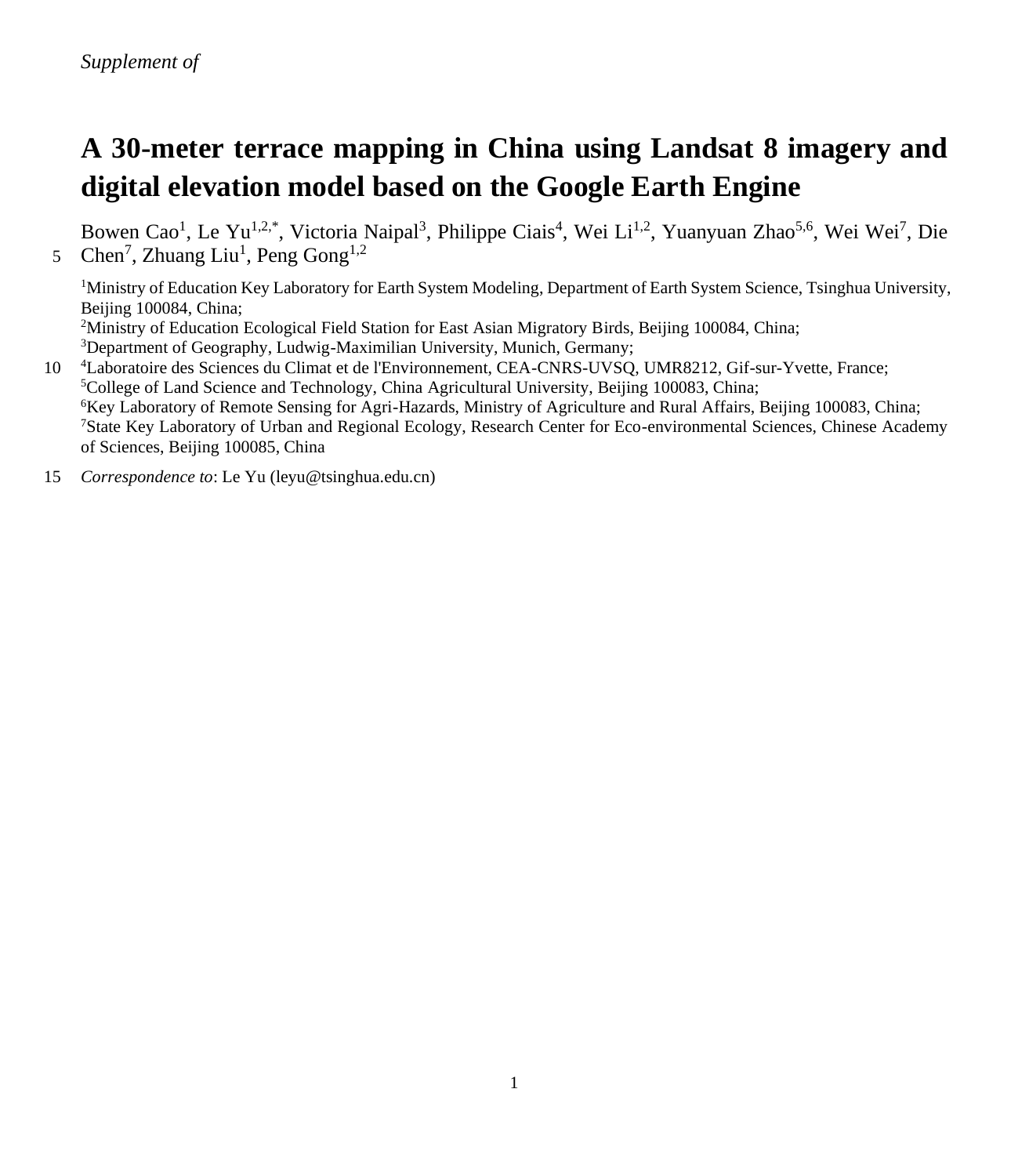## **A 30-meter terrace mapping in China using Landsat 8 imagery and digital elevation model based on the Google Earth Engine**

Bowen Cao<sup>1</sup>, Le Yu<sup>1,2,\*</sup>, Victoria Naipal<sup>3</sup>, Philippe Ciais<sup>4</sup>, Wei Li<sup>1,2</sup>, Yuanyuan Zhao<sup>5,6</sup>, Wei Wei<sup>7</sup>, Die 5 Chen<sup>7</sup>, Zhuang Liu<sup>1</sup>, Peng Gong<sup>1,2</sup>

<sup>1</sup>Ministry of Education Key Laboratory for Earth System Modeling, Department of Earth System Science, Tsinghua University, Beijing 100084, China;

<sup>2</sup>Ministry of Education Ecological Field Station for East Asian Migratory Birds, Beijing 100084, China;

<sup>3</sup>Department of Geography, Ludwig-Maximilian University, Munich, Germany;

- 10 <sup>4</sup> Laboratoire des Sciences du Climat et de l'Environnement, CEA-CNRS-UVSO, UMR8212, Gif-sur-Yvette, France; <sup>5</sup>College of Land Science and Technology, China Agricultural University, Beijing 100083, China; <sup>6</sup>Key Laboratory of Remote Sensing for Agri-Hazards, Ministry of Agriculture and Rural Affairs, Beijing 100083, China; <sup>7</sup>State Key Laboratory of Urban and Regional Ecology, Research Center for Eco-environmental Sciences, Chinese Academy of Sciences, Beijing 100085, China
- 15 *Correspondence to*: Le Yu (leyu@tsinghua.edu.cn)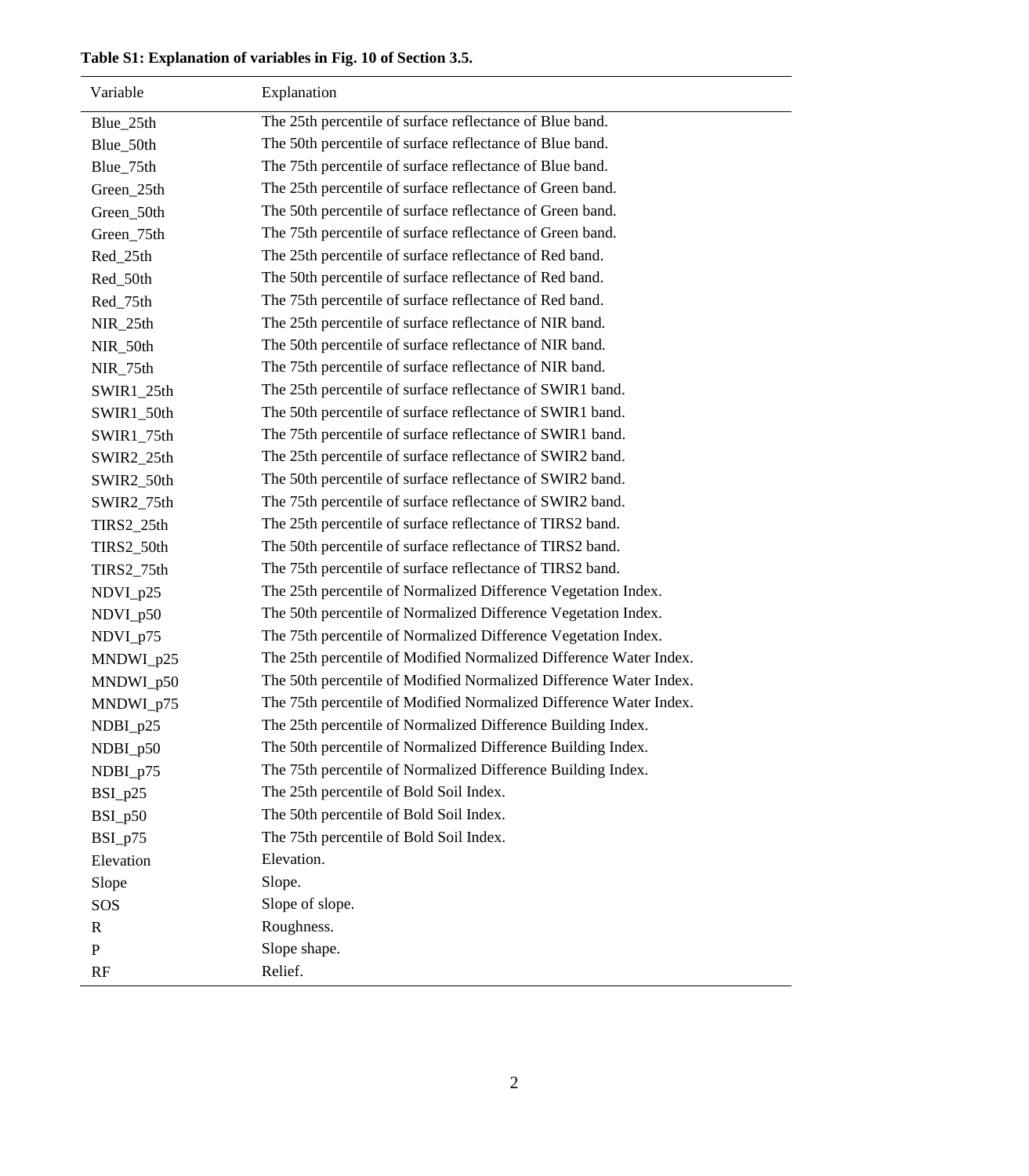| Table S1: Explanation of variables in Fig. 10 of Section 3.5. |  |  |  |
|---------------------------------------------------------------|--|--|--|
|---------------------------------------------------------------|--|--|--|

| Variable   | Explanation                                                        |
|------------|--------------------------------------------------------------------|
| Blue_25th  | The 25th percentile of surface reflectance of Blue band.           |
| Blue_50th  | The 50th percentile of surface reflectance of Blue band.           |
| Blue_75th  | The 75th percentile of surface reflectance of Blue band.           |
| Green_25th | The 25th percentile of surface reflectance of Green band.          |
| Green_50th | The 50th percentile of surface reflectance of Green band.          |
| Green_75th | The 75th percentile of surface reflectance of Green band.          |
| Red_25th   | The 25th percentile of surface reflectance of Red band.            |
| Red_50th   | The 50th percentile of surface reflectance of Red band.            |
| Red_75th   | The 75th percentile of surface reflectance of Red band.            |
| $NIR_25th$ | The 25th percentile of surface reflectance of NIR band.            |
| NIR_50th   | The 50th percentile of surface reflectance of NIR band.            |
| NIR_75th   | The 75th percentile of surface reflectance of NIR band.            |
| SWIR1_25th | The 25th percentile of surface reflectance of SWIR1 band.          |
| SWIR1_50th | The 50th percentile of surface reflectance of SWIR1 band.          |
| SWIR1 75th | The 75th percentile of surface reflectance of SWIR1 band.          |
| SWIR2_25th | The 25th percentile of surface reflectance of SWIR2 band.          |
| SWIR2 50th | The 50th percentile of surface reflectance of SWIR2 band.          |
| SWIR2_75th | The 75th percentile of surface reflectance of SWIR2 band.          |
| TIRS2_25th | The 25th percentile of surface reflectance of TIRS2 band.          |
| TIRS2_50th | The 50th percentile of surface reflectance of TIRS2 band.          |
| TIRS2_75th | The 75th percentile of surface reflectance of TIRS2 band.          |
| $NDVI_p25$ | The 25th percentile of Normalized Difference Vegetation Index.     |
| NDVI_p50   | The 50th percentile of Normalized Difference Vegetation Index.     |
| NDVI_p75   | The 75th percentile of Normalized Difference Vegetation Index.     |
| MNDWI_p25  | The 25th percentile of Modified Normalized Difference Water Index. |
| MNDWI_p50  | The 50th percentile of Modified Normalized Difference Water Index. |
| MNDWI_p75  | The 75th percentile of Modified Normalized Difference Water Index. |
| $NDBI_p25$ | The 25th percentile of Normalized Difference Building Index.       |
| NDBI_p50   | The 50th percentile of Normalized Difference Building Index.       |
| NDBI_p75   | The 75th percentile of Normalized Difference Building Index.       |
| $BSI_p25$  | The 25th percentile of Bold Soil Index.                            |
| $BSI_p50$  | The 50th percentile of Bold Soil Index.                            |
| $BSL_p75$  | The 75th percentile of Bold Soil Index.                            |
| Elevation  | Elevation.                                                         |
| Slope      | Slope.                                                             |
| SOS        | Slope of slope.                                                    |
| R          | Roughness.                                                         |
| P          | Slope shape.                                                       |
| RF         | Relief.                                                            |